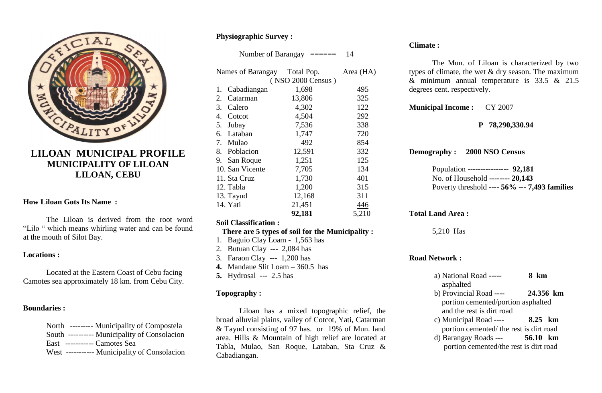

# **LILOAN MUNICIPAL PROFILE MUNICIPALITY OF LILOAN LILOAN, CEBU**

# **How Liloan Gots Its Name :**

The Liloan is derived from the root word "Lilo " which means whirling water and can be found at the mouth of Silot Bay.

#### **Locations :**

Located at the Eastern Coast of Cebu facing Camotes sea approximately 18 km. from Cebu City.

# **Boundaries :**

| North --------- Municipality of Compostela   |
|----------------------------------------------|
| South ---------- Municipality of Consolacion |
| East ----------- Camotes Sea                 |
| West ----------- Municipality of Consolacion |

# **Physiographic Survey :**

Number of Barangay ====== 14

| Names of Barangay        | Total Pop.        | Area (HA) |
|--------------------------|-------------------|-----------|
|                          | (NSO 2000 Census) |           |
| Cabadiangan<br>1.        | 1,698             | 495       |
| Catarman<br>2.           | 13,806            | 325       |
| 3.<br>Calero             | 4,302             | 122       |
| $\mathbf{4}$ .<br>Cotcot | 4,504             | 292       |
| Jubay<br>5.              | 7,536             | 338       |
| 6. Lataban               | 1,747             | 720       |
| 7. Mulao                 | 492               | 854       |
| 8. Poblacion             | 12,591            | 332       |
| 9. San Roque             | 1,251             | 125       |
| 10. San Vicente          | 7,705             | 134       |
| 11. Sta Cruz             | 1,730             | 401       |
| 12. Tabla                | 1,200             | 315       |
| 13. Tayud                | 12,168            | 311       |
| 14. Yati                 | 21,451            | 446       |
|                          | 92,181            | 5,210     |

# **Soil Classification :**

# **There are 5 types of soil for the Municipality :**

- 1. Baguio Clay Loam 1,563 has
- 2. Butuan Clay --- 2,084 has
- 3. Faraon Clay --- 1,200 has
- **4.** Mandaue Slit Loam 360.5 has
- **5.** Hydrosal --- 2.5 has

# **Topography :**

Liloan has a mixed topographic relief, the broad alluvial plains, valley of Cotcot, Yati, Catarman & Tayud consisting of 97 has. or 19% of Mun. land area. Hills & Mountain of high relief are located at Tabla, Mulao, San Roque, Lataban, Sta Cruz & Cabadiangan.

# **Climate :**

The Mun. of Liloan is characterized by two types of climate, the wet  $&$  dry season. The maximum & minimum annual temperature is 33.5 & 21.5 degrees cent. respectively.

**Municipal Income :** CY 2007

# **P 78,290,330.94**

**Demography : 2000 NSO Census**

Population **---------------- 92,181** No. of Household **-------- 20,143** Poverty threshold **---- 56% --- 7,493 families**

**Total Land Area :**

5,210 Has

# **Road Network :**

| a) National Road -----                  | 8 km          |
|-----------------------------------------|---------------|
| asphalted                               |               |
| b) Provincial Road ----                 | 24.356 km     |
| portion cemented/portion asphalted      |               |
| and the rest is dirt road               |               |
| c) Municipal Road ----                  | 8.25 km       |
| portion cemented/ the rest is dirt road |               |
| d) Barangay Roads ---                   | 56.10<br>– km |
| portion cemented/the rest is dirt road  |               |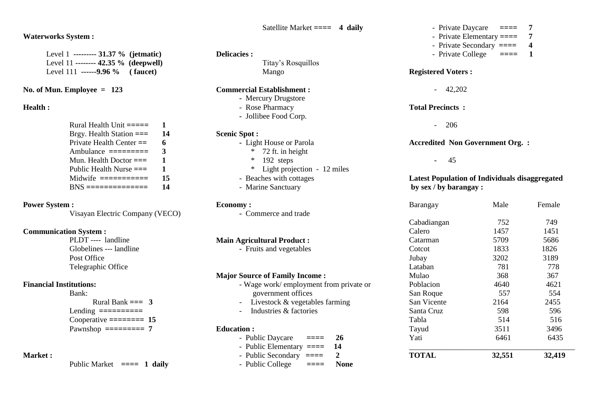## **Waterworks System :**

Level 1 **--------- 31.37 % (jetmatic)** Level 11 **-------- 42.35 % (deepwell)** Level 111 **------9.96 % ( faucet)** 

# **No. of Mun. Employee = 123**

#### **Health :**

| Rural Health Unit $=\equiv=\equiv$                                 | Т. |
|--------------------------------------------------------------------|----|
| Brgy. Health Station $==$                                          | 14 |
| Private Health Center $==$                                         | 6  |
| Ambulance $=\equiv=\equiv=\equiv=\equiv$                           | 3  |
| Mun. Health Doctor $==$                                            | 1  |
| Public Health Nurse $==$                                           | 1  |
| Midwife $=\equiv \equiv \equiv \equiv \equiv \equiv \equiv \equiv$ | 15 |
| $BNS$ ================                                             | 14 |

# **Power System :**

Visayan Electric Company (VECO)

# **Communication System :**

PLDT ---- landline Globelines --- landline Post Office Telegraphic Office

# **Financial Institutions:**

Bank: Rural Bank  $== 3$ Lending **==========** Cooperative **======== 15** Pawnshop **========= 7**

# **Market :**

Public Market **==== 1 daily**

### Satellite Market **==== 4 daily**

### **Delicacies :**

Titay's Rosquillos Mango

#### **Commercial Establishment :**

- Mercury Drugstore
- Rose Pharmacy
- Jollibee Food Corp.

#### **Scenic Spot :**

- Light House or Parola
	- \* 72 ft. in height
	- \* 192 steps
	- \* Light projection 12 miles
- Beaches with cottages
- Marine Sanctuary

#### **Economy :**

**-** Commerce and trade

## **Main Agricultural Product :**

**-** Fruits and vegetables

#### **Major Source of Family Income :**

- Wage work/ employment from private or government offices
- Livestock & vegetables farming
- Industries & factories

## **Education :**

- Public Daycare ==== 26 - Public Elementary **==== 14** - Public Secondary **==== 2** - Public College **==== None**

- Private Daycare **==== 7**
- Private Elementary **==== 7**
- Private Secondary **==== 4**
- Private College ==== 1

# **Registered Voters :**

- 42,202

#### **Total Precincts :**

- 206

# **Accredited Non Government Org. :**

 **-** 45

### **Latest Population of Individuals disaggregated by sex / by barangay :**

| Barangay     | Male   | Female |
|--------------|--------|--------|
| Cabadiangan  | 752    | 749    |
| Calero       | 1457   | 1451   |
| Catarman     | 5709   | 5686   |
| Cotcot       | 1833   | 1826   |
| Jubay        | 3202   | 3189   |
| Lataban      | 781    | 778    |
| Mulao        | 368    | 367    |
| Poblacion    | 4640   | 4621   |
| San Roque    | 557    | 554    |
| San Vicente  | 2164   | 2455   |
| Santa Cruz   | 598    | 596    |
| Tabla        | 514    | 516    |
| Tayud        | 3511   | 3496   |
| Yati         | 6461   | 6435   |
| <b>TOTAL</b> | 32,551 | 32,419 |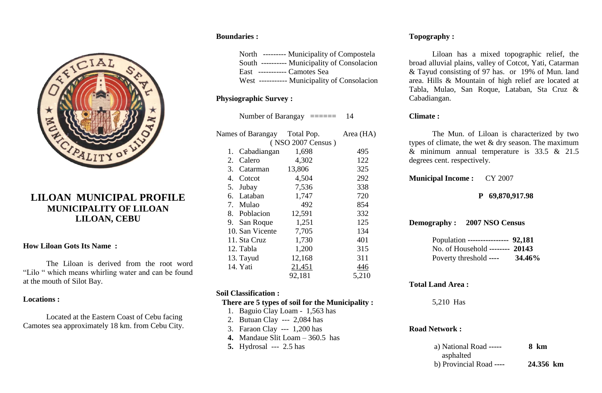

# **LILOAN MUNICIPAL PROFILE MUNICIPALITY OF LILOAN LILOAN, CEBU**

# **How Liloan Gots Its Name :**

The Liloan is derived from the root word "Lilo " which means whirling water and can be found at the mouth of Silot Bay.

#### **Locations :**

Located at the Eastern Coast of Cebu facing Camotes sea approximately 18 km. from Cebu City.

# **Boundaries :**

North --------- Municipality of Compostela South ---------- Municipality of Consolacion East ----------- Camotes Sea West ----------- Municipality of Consolacion

# **Physiographic Survey :**

Number of Barangay ====== 14

|    | Names of Barangay | Total Pop.        | Area (HA) |
|----|-------------------|-------------------|-----------|
|    |                   | (NSO 2007 Census) |           |
| 1. | Cabadiangan       | 1,698             | 495       |
| 2. | Calero            | 4,302             | 122       |
|    | 3. Catarman       | 13,806            | 325       |
|    | 4. Cotcot         | 4,504             | 292       |
|    | 5. Jubay          | 7,536             | 338       |
|    | 6. Lataban        | 1,747             | 720       |
|    | 7. Mulao          | 492               | 854       |
|    | 8. Poblacion      | 12,591            | 332       |
|    | 9. San Roque      | 1,251             | 125       |
|    | 10. San Vicente   | 7,705             | 134       |
|    | 11. Sta Cruz      | 1,730             | 401       |
|    | 12. Tabla         | 1,200             | 315       |
|    | 13. Tayud         | 12,168            | 311       |
|    | 14. Yati          | 21,451            | 446       |
|    |                   | 92,181            | 5,210     |
|    |                   |                   |           |

# **Soil Classification :**

# **There are 5 types of soil for the Municipality :**

- 1. Baguio Clay Loam 1,563 has
- 2. Butuan Clay --- 2,084 has
- 3. Faraon Clay --- 1,200 has
- **4.** Mandaue Slit Loam 360.5 has
- **5.** Hydrosal --- 2.5 has

# **Topography :**

Liloan has a mixed topographic relief, the broad alluvial plains, valley of Cotcot, Yati, Catarman & Tayud consisting of 97 has. or 19% of Mun. land area. Hills & Mountain of high relief are located at Tabla, Mulao, San Roque, Lataban, Sta Cruz & Cabadiangan.

# **Climate :**

The Mun. of Liloan is characterized by two types of climate, the wet & dry season. The maximum & minimum annual temperature is 33.5 & 21.5 degrees cent. respectively.

**Municipal Income :** CY 2007

# **P 69,870,917.98**

**Demography : 2007 NSO Census**

Population **---------------- 92,181** No. of Household **-------- 20143** Poverty threshold **---- 34.46%**

# **Total Land Area :**

5,210 Has

#### **Road Network :**

| a) National Road -----  | 8 km      |
|-------------------------|-----------|
| asphalted               |           |
| b) Provincial Road ---- | 24.356 km |